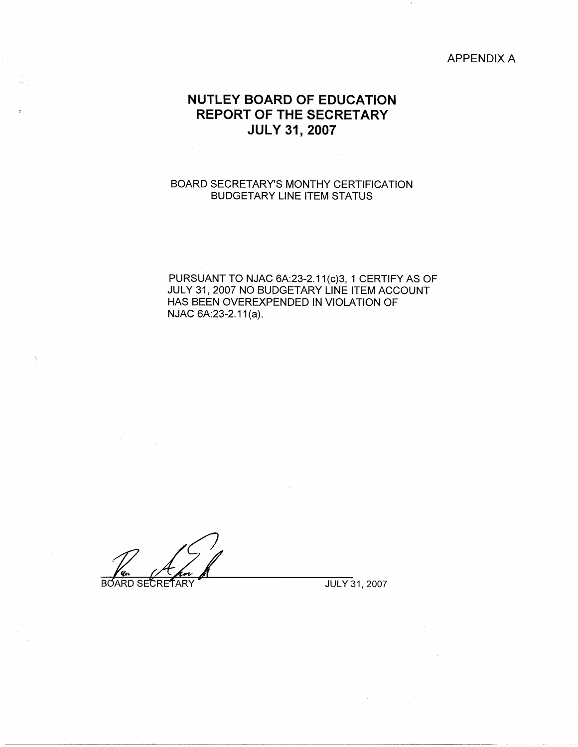# APPENDIX A

# **NUTLEY BOARD OF EDUCATION REPORT OF THE SECRETARY JULY 31, 2007**

# BOARD SECRETARY'S MONTHY CERTIFICATION BUDGETARY LINE ITEM STATUS

PURSUANT TO NJAC 6A:23-2.11(c)3, 1 CERTIFY AS OF JULY 31, 2007 NO BUDGETARY LINE ITEM ACCOUNT HAS BEEN OVEREXPENDED IN VIOLATION OF NJAC 6A:23-2.11(a).

**BOARD SECRETARY** 

\

JULY 31, 2007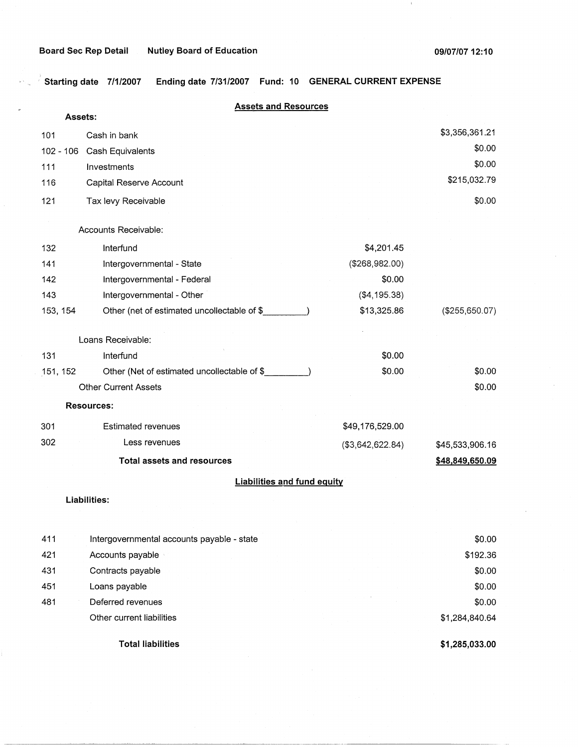$\omega$   $\lambda_{\rm{c}}$  .

 $\pm$ 

**Starting date 7/1/2007 Ending date 7/31/2007 Fund: 10 GENERAL CURRENT EXPENSE** 

|           | Assets:                                     | <b>Assets and Resources</b>        |                 |
|-----------|---------------------------------------------|------------------------------------|-----------------|
| 101       | Cash in bank                                |                                    | \$3,356,361.21  |
| 102 - 106 | Cash Equivalents                            |                                    | \$0.00          |
| 111       | Investments                                 |                                    | \$0.00          |
| 116       | Capital Reserve Account                     |                                    | \$215,032.79    |
| 121       | Tax levy Receivable                         |                                    | \$0.00          |
|           | Accounts Receivable:                        |                                    |                 |
| 132       | Interfund                                   | \$4,201.45                         |                 |
| 141       | Intergovernmental - State                   | (\$268,982.00)                     |                 |
| 142       | Intergovernmental - Federal                 | \$0.00                             |                 |
| 143       | Intergovernmental - Other                   | (\$4, 195.38)                      |                 |
| 153, 154  | Other (net of estimated uncollectable of \$ | \$13,325.86                        | (\$255,650.07)  |
|           | Loans Receivable:                           |                                    |                 |
| 131       | Interfund                                   | \$0.00                             |                 |
| 151, 152  | Other (Net of estimated uncollectable of \$ | \$0.00                             | \$0.00          |
|           | <b>Other Current Assets</b>                 |                                    | \$0.00          |
|           | <b>Resources:</b>                           |                                    |                 |
| 301       | <b>Estimated revenues</b>                   | \$49,176,529.00                    |                 |
| 302       | Less revenues                               | (\$3,642,622.84)                   | \$45,533,906.16 |
|           | <b>Total assets and resources</b>           |                                    | \$48,849,650.09 |
|           |                                             | <b>Liabilities and fund equity</b> |                 |
|           | Liabilities:                                |                                    |                 |
| 411       | Intergovernmental accounts payable - state  |                                    | \$0.00          |
| 421       | Accounts payable                            |                                    | \$192.36        |
| 431       | Contracts payable                           |                                    | \$0.00          |
| 451       | Loans payable                               |                                    | \$0.00          |
| 481       | Deferred revenues                           |                                    | \$0.00          |
|           | Other current liabilities                   |                                    | \$1,284,840.64  |
|           | <b>Total liabilities</b>                    |                                    | \$1,285,033.00  |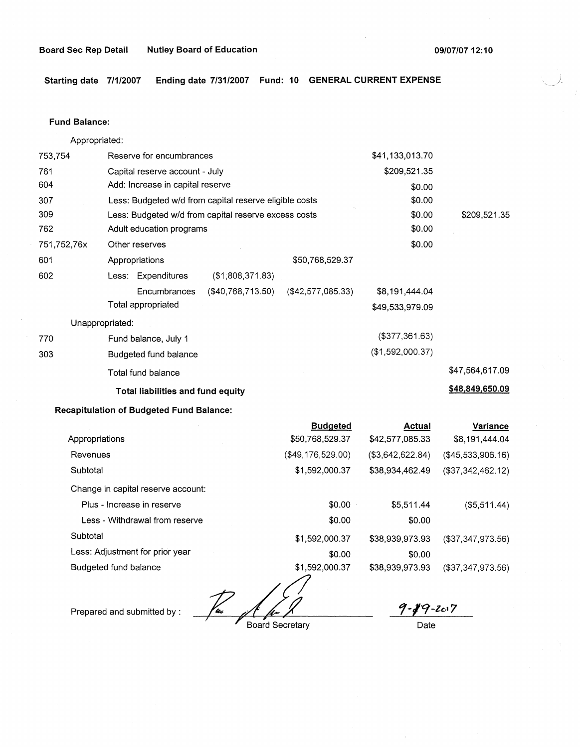**Starting date 7/1/2007 Ending date 7/31/2007 Fund: 10 GENERAL CURRENT EXPENSE** 

#### **Fund Balance:**

753,754 761 604 307 309 Appropriated: Reserve for encumbrances Capital reserve account - July Add: Increase in capital reserve Less: Budgeted w/d from capital reserve eligible costs Less: Budgeted w/d from capital reserve excess costs \$41,133,013.70 \$209,521.35 \$0.00 \$0.00 \$0.00 \$209,521.35 762 751,752,76x 601 Adult education programs  $$0.00$ Other reserves \$0.00 Appropriations 602 Less: Expenditures (\$1 ;808,371.83) Encumbrances (\$40,768,713.50) Total appropriated Unappropriated: 770 Fund balance, July 1 303 Budgeted fund balance Total fund balance **Total liabilities and fund equity Recapitulation of Budgeted Fund Balance:**  Appropriations Revenues **Subtotal** \$50,768,529.37 (\$42,577,085.33) **Budgeted**  \$50,768,529.37 (\$49,176,529.00) \$1,592,000.37 \$8, 191,444.04 \$49,533,979.09 (\$377,361.63) (\$1,592,000.37) **Actual**  \$42,577,085.33 (\$3,642,622.84) \$38,934,462.49 \$47,564,617.09 **\$48,849,650.09 Variance**  \$8,191,444.04 (\$45,533,906.16) (\$37,342,462.12)

Change in capital reserve account:

| Change in capital reserve account: |                |                 |                   |
|------------------------------------|----------------|-----------------|-------------------|
| Plus - Increase in reserve         | \$0.00         | \$5.511.44      | (\$5,511.44)      |
| Less - Withdrawal from reserve     | \$0.00         | \$0.00          |                   |
| Subtotal                           | \$1,592,000.37 | \$38,939,973.93 | (\$37,347,973.56) |
| Less: Adjustment for prior year    | \$0.00         | \$0.00          |                   |
| Budgeted fund balance              | \$1,592,000.37 | \$38,939,973.93 | (\$37,347,973.56) |

Prepared and submitted by : **Fax**<br>Board Secretary

*'f* **· /°9-Zo• 7** 

Date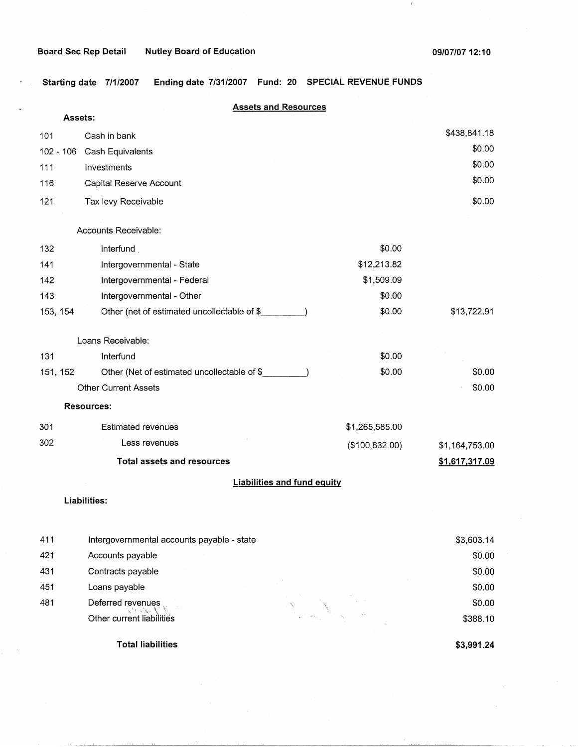$\bar{1}$ 

, - **Starting date 7/1/2007 Ending date 7/31/2007 Fund: 20 SPECIAL REVENUE FUNDS** 

| 101<br>Cash in bank<br>$102 - 106$<br><b>Cash Equivalents</b><br>111<br>Investments<br>116<br>Capital Reserve Account<br>121<br>Tax levy Receivable<br>Accounts Receivable:<br>\$0.00<br>Interfund<br>132<br>\$12,213.82<br>Intergovernmental - State<br>141<br>\$1,509.09<br>Intergovernmental - Federal<br>142<br>\$0.00<br>143<br>Intergovernmental - Other<br>Other (net of estimated uncollectable of \$<br>153, 154<br>\$0.00<br>Loans Receivable:<br>\$0.00<br>Interfund<br>131<br>Other (Net of estimated uncollectable of \$<br>\$0.00<br>151, 152<br><b>Other Current Assets</b><br><b>Resources:</b><br>301<br><b>Estimated revenues</b><br>\$1,265,585.00<br>302<br>Less revenues<br>(\$100, 832.00)<br><b>Total assets and resources</b><br><b>Liabilities and fund equity</b><br>Liabilities: | Assets: | <b>Assets and Resources</b> |                |
|-------------------------------------------------------------------------------------------------------------------------------------------------------------------------------------------------------------------------------------------------------------------------------------------------------------------------------------------------------------------------------------------------------------------------------------------------------------------------------------------------------------------------------------------------------------------------------------------------------------------------------------------------------------------------------------------------------------------------------------------------------------------------------------------------------------|---------|-----------------------------|----------------|
|                                                                                                                                                                                                                                                                                                                                                                                                                                                                                                                                                                                                                                                                                                                                                                                                             |         |                             | \$438,841.18   |
|                                                                                                                                                                                                                                                                                                                                                                                                                                                                                                                                                                                                                                                                                                                                                                                                             |         |                             | \$0.00         |
|                                                                                                                                                                                                                                                                                                                                                                                                                                                                                                                                                                                                                                                                                                                                                                                                             |         |                             | \$0.00         |
|                                                                                                                                                                                                                                                                                                                                                                                                                                                                                                                                                                                                                                                                                                                                                                                                             |         |                             | \$0.00         |
|                                                                                                                                                                                                                                                                                                                                                                                                                                                                                                                                                                                                                                                                                                                                                                                                             |         |                             | \$0.00         |
|                                                                                                                                                                                                                                                                                                                                                                                                                                                                                                                                                                                                                                                                                                                                                                                                             |         |                             |                |
|                                                                                                                                                                                                                                                                                                                                                                                                                                                                                                                                                                                                                                                                                                                                                                                                             |         |                             |                |
|                                                                                                                                                                                                                                                                                                                                                                                                                                                                                                                                                                                                                                                                                                                                                                                                             |         |                             |                |
|                                                                                                                                                                                                                                                                                                                                                                                                                                                                                                                                                                                                                                                                                                                                                                                                             |         |                             |                |
|                                                                                                                                                                                                                                                                                                                                                                                                                                                                                                                                                                                                                                                                                                                                                                                                             |         |                             |                |
|                                                                                                                                                                                                                                                                                                                                                                                                                                                                                                                                                                                                                                                                                                                                                                                                             |         |                             | \$13,722.91    |
|                                                                                                                                                                                                                                                                                                                                                                                                                                                                                                                                                                                                                                                                                                                                                                                                             |         |                             |                |
|                                                                                                                                                                                                                                                                                                                                                                                                                                                                                                                                                                                                                                                                                                                                                                                                             |         |                             |                |
|                                                                                                                                                                                                                                                                                                                                                                                                                                                                                                                                                                                                                                                                                                                                                                                                             |         |                             | \$0.00         |
|                                                                                                                                                                                                                                                                                                                                                                                                                                                                                                                                                                                                                                                                                                                                                                                                             |         |                             | \$0.00         |
|                                                                                                                                                                                                                                                                                                                                                                                                                                                                                                                                                                                                                                                                                                                                                                                                             |         |                             |                |
|                                                                                                                                                                                                                                                                                                                                                                                                                                                                                                                                                                                                                                                                                                                                                                                                             |         |                             |                |
|                                                                                                                                                                                                                                                                                                                                                                                                                                                                                                                                                                                                                                                                                                                                                                                                             |         |                             | \$1,164,753.00 |
|                                                                                                                                                                                                                                                                                                                                                                                                                                                                                                                                                                                                                                                                                                                                                                                                             |         |                             | \$1,617,317.09 |
|                                                                                                                                                                                                                                                                                                                                                                                                                                                                                                                                                                                                                                                                                                                                                                                                             |         |                             |                |
|                                                                                                                                                                                                                                                                                                                                                                                                                                                                                                                                                                                                                                                                                                                                                                                                             |         |                             |                |
| 411<br>Intergovernmental accounts payable - state                                                                                                                                                                                                                                                                                                                                                                                                                                                                                                                                                                                                                                                                                                                                                           |         |                             | \$3,603.14     |
| 421                                                                                                                                                                                                                                                                                                                                                                                                                                                                                                                                                                                                                                                                                                                                                                                                         |         |                             | \$0.00         |
| Accounts payable<br>431<br>Contracts payable                                                                                                                                                                                                                                                                                                                                                                                                                                                                                                                                                                                                                                                                                                                                                                |         |                             | \$0.00         |
| Loans payable<br>451                                                                                                                                                                                                                                                                                                                                                                                                                                                                                                                                                                                                                                                                                                                                                                                        |         |                             | \$0.00         |
| 481<br>Deferred revenues                                                                                                                                                                                                                                                                                                                                                                                                                                                                                                                                                                                                                                                                                                                                                                                    |         |                             | \$0.00         |
| マナマスト<br>Other current liabilities                                                                                                                                                                                                                                                                                                                                                                                                                                                                                                                                                                                                                                                                                                                                                                          |         |                             | \$388.10       |

**Total liabilities** 

ستشددنا شدعت أداء

**\$3,991.24**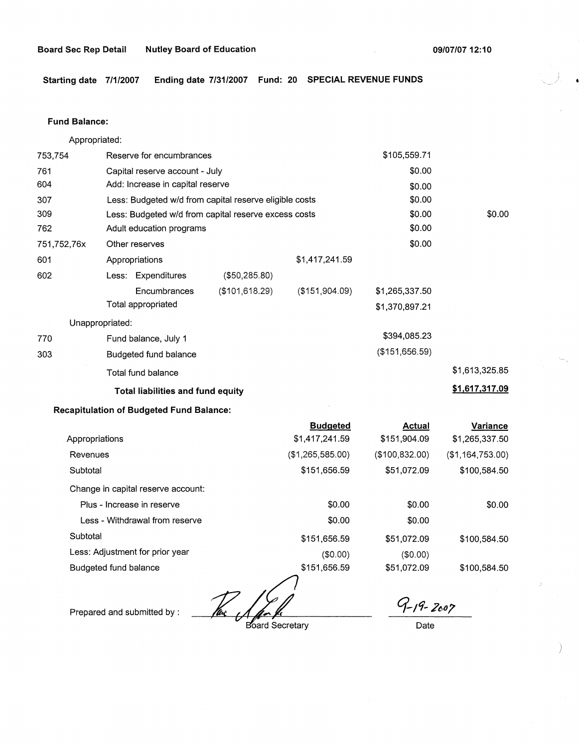**Starting date 7/1/2007 Ending date 7/31/2007 Fund: 20 SPECIAL REVENUE FUNDS** •

#### **Fund Balance:**

753,754 761 604 Appropriated: Reserve for encumbrances Capital reserve account - July Add: Increase in capital reserve 307 309 762 751,752,76x 601 Less: Budgeted w/d from capital reserve eligible costs Less: Budgeted w/d from capital reserve excess costs Adult education programs 602 770 303 Other reserves Appropriations Less: Expenditures Encumbrances Total appropriated Unappropriated: Fund balance, July 1 Budgeted fund balance Total fund balance (\$50,285.80) (\$101,618.29) **Total liabilities and fund equity Recapitulation of Budgeted Fund Balance:**  Appropriations Revenues \$1,417,241.59 (\$151,904.09) **Budgeted**  \$1,417,241.59 (\$1,265,585.00) \$105,559.71 \$0.00 \$0.00 \$0.00 \$0.00 \$0.00 \$0.00 \$1,265,337.50 \$1,370,897.21 \$394,085.23 (\$151,656.59) **Actual**  \$151,904.09 (\$100,832.00) \$0.00 \$1,613,325.85 **\$1,617,317.09 Variance**  \$1,265,337.50 (\$1,164,753.00)

| Subtotal                           | \$151,656.59 | \$51,072.09 | \$100,584.50 |
|------------------------------------|--------------|-------------|--------------|
| Change in capital reserve account: |              |             |              |
| Plus - Increase in reserve         | \$0.00       | \$0.00      | \$0.00       |
| Less - Withdrawal from reserve     | \$0.00       | \$0.00      |              |
| Subtotal                           | \$151,656.59 | \$51,072.09 | \$100,584.50 |
| Less: Adjustment for prior year    | $($ \$0,00)  | $($ \$0.00) |              |
| Budgeted fund balance              | \$151,656.59 | \$51,072.09 | \$100,584.50 |

Prepared and submitted by :

Board Secretary

*q\_,9\_ ,Ze,07* 

Date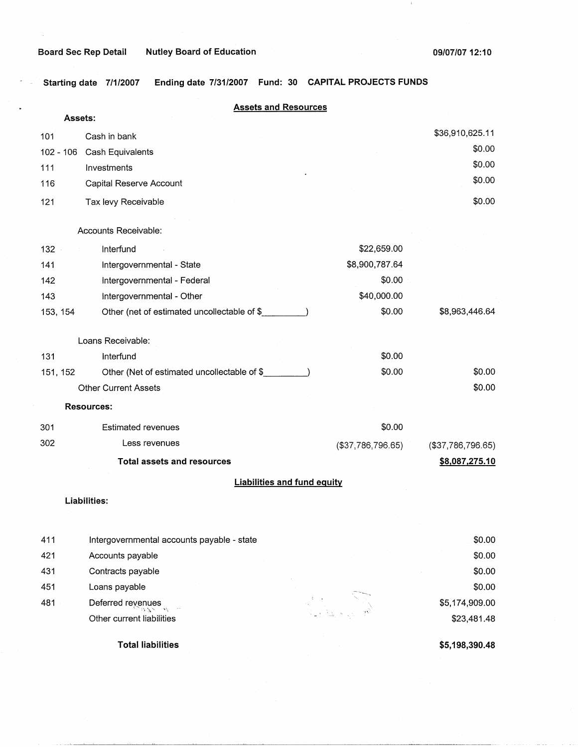$\omega$ 

 $\mathbf{J}_\mathrm{c}$ 

**Starting date 7/1/2007 Ending date 7/31/2007 Fund: 30 CAPITAL PROJECTS FUNDS** 

| Assets:   | <b>Assets and Resources</b>                  |                    |                   |
|-----------|----------------------------------------------|--------------------|-------------------|
| 101       | Cash in bank                                 |                    | \$36,910,625.11   |
| 102 - 106 | Cash Equivalents                             |                    | \$0.00            |
| 111       | Investments                                  |                    | \$0.00            |
| 116       | Capital Reserve Account                      |                    | \$0.00            |
| 121       | Tax levy Receivable                          |                    | \$0.00            |
|           |                                              |                    |                   |
|           | Accounts Receivable:                         |                    |                   |
| 132       | Interfund                                    | \$22,659.00        |                   |
| 141       | Intergovernmental - State                    | \$8,900,787.64     |                   |
| 142       | Intergovernmental - Federal                  | \$0.00             |                   |
| 143       | Intergovernmental - Other                    | \$40,000.00        |                   |
| 153, 154  | Other (net of estimated uncollectable of \$  | \$0.00             | \$8,963,446.64    |
|           | Loans Receivable:                            |                    |                   |
| 131       | Interfund                                    | \$0.00             |                   |
| 151, 152  | Other (Net of estimated uncollectable of \$_ | \$0.00             | \$0.00            |
|           | <b>Other Current Assets</b>                  |                    | \$0.00            |
|           | <b>Resources:</b>                            |                    |                   |
| 301       | <b>Estimated revenues</b>                    | \$0.00             |                   |
| 302       | Less revenues                                | ( \$37,786,796.65) | (\$37,786,796.65) |
|           | <b>Total assets and resources</b>            |                    | \$8,087,275.10    |
|           | <b>Liabilities and fund equity</b>           |                    |                   |
|           | Liabilities:                                 |                    |                   |
|           |                                              |                    |                   |
| 411       | Intergovernmental accounts payable - state   |                    | \$0.00            |
| 421       | Accounts payable                             |                    | \$0.00            |
| 431       | Contracts payable                            |                    | \$0.00            |
| 451       | Loans payable                                |                    | \$0.00            |
| 481       | Deferred revenues                            |                    | \$5,174,909.00    |
|           | Other current liabilities                    |                    | \$23,481.48       |
|           |                                              |                    |                   |

**Total liabilities** 

**\$5,198,390.48**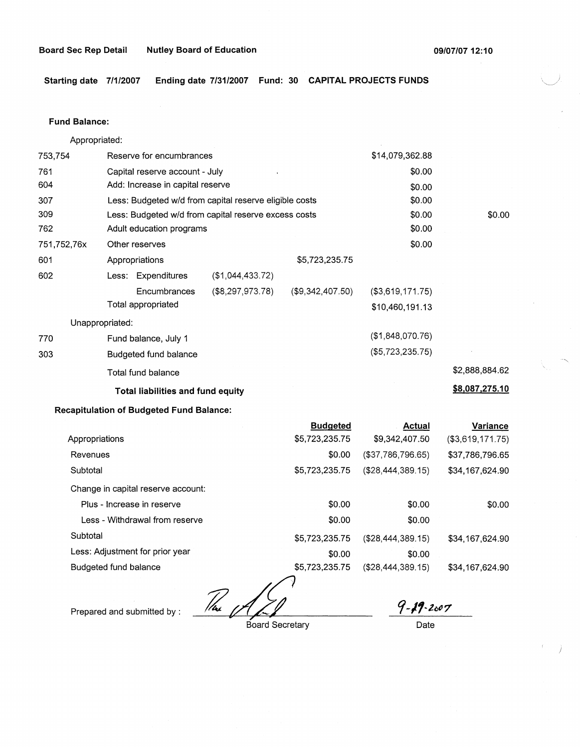**Board Sec Rep Detail Nutley Board of Education 09/07/07 12:10** 

--,

*)* 

**Starting date 7/1/2007 Ending date 7/31/2007 Fund: 30 CAPITAL PROJECTS FUNDS** \J

#### **Fund Balance:**

753,754 761 604 Appropriated: Reserve for encumbrances Capital reserve account - July Add: Increase in capital reserve 307 309 762 751,752,76x 601 Less: Budgeted w/d from capital reserve eligible costs Less: Budgeted w/d from capital reserve excess costs Adult education programs 602 Other reserves Appropriations Less: Expenditures **Encumbrances** Total appropriated Unappropriated: 770 Fund balance, July 1 303 Budgeted fund balance Total fund balance (\$1,044,433.72) (\$8,297,973.78) **Total liabilities and fund equity Recapitulation of Budgeted Fund Balance:**  Appropriations Revenues **Subtotal** Change in capital reserve account: \$5,723,235.75 (\$9,342,407.50) **Budgeted**  \$5,723,235.75 \$0.00 \$5,723,235.75 \$14,079,362.88 \$0.00 \$0.00 \$0.00 \$0.00 \$0.00 \$0.00 (\$3,619,171.75) \$10,460,191.13 (\$1,848,070.76) (\$5,723,235.75) **Actual**  \$9,342,407.50 (\$37,786,796.65) (\$28,444,389.15) Plus - Increase in reserve **\$0.00** \$0.00 \$0.00 Less - Withdrawal from reserve \$0.00 \$0.00 \$0.00 \$2,888,884.62 **\$8,087,275.10 Variance**  (\$3,619,171.75) \$37,786,796.65 \$34,167,624.90 \$0.00

**Subtotal** Less: Adjustment for prior year

Budgeted fund balance

|<br>| hu | |

Prepared and submitted by :

9-19-2007

\$34,167,624.90

\$34,167,624.90

\$5,723,235.75 (\$28,444,389.15)

\$5,723,235.75 (\$28,444,389.15)

\$0.00 \$0.00

Board Secretary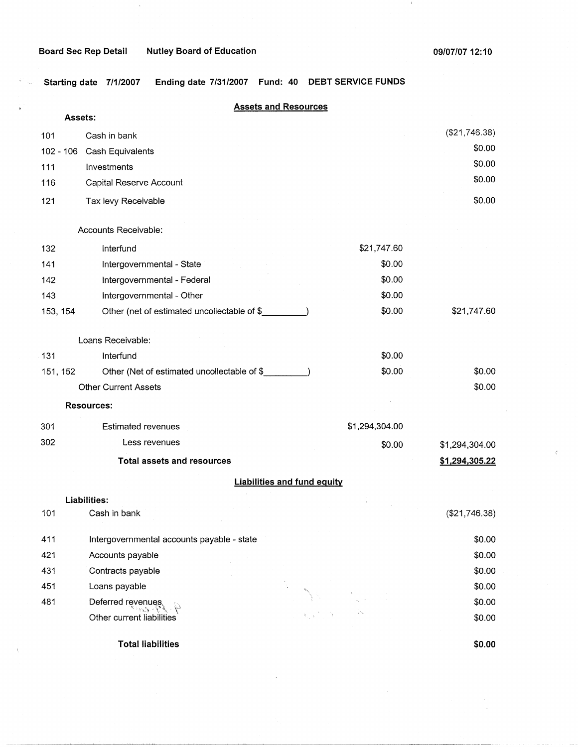$\vec{\phi}$ 

 $\mathbf{u}$ 

 $\bar{1}$ 

**Starting date 7/1/2007 Ending date 7/31/2007 Fund: 40 DEBT SERVICE FUNDS** 

# **Assets and Resources**

| <b>Assets:</b> |                                              |                                    |                |
|----------------|----------------------------------------------|------------------------------------|----------------|
| 101            | Cash in bank                                 |                                    | (\$21,746.38)  |
| 102 - 106      | Cash Equivalents                             |                                    | \$0.00         |
| 111            | Investments                                  |                                    | \$0.00         |
| 116            | Capital Reserve Account                      |                                    | \$0.00         |
| 121            | Tax levy Receivable                          |                                    | \$0.00         |
|                | Accounts Receivable:                         |                                    |                |
|                |                                              | \$21,747.60                        |                |
| 132            | Interfund                                    | \$0.00                             |                |
| 141            | Intergovernmental - State                    | \$0.00                             |                |
| 142            | Intergovernmental - Federal                  |                                    |                |
| 143            | Intergovernmental - Other                    | \$0.00<br>\$0.00                   |                |
| 153, 154       | Other (net of estimated uncollectable of \$_ |                                    | \$21,747.60    |
|                | Loans Receivable:                            |                                    |                |
| 131            | Interfund                                    | \$0.00                             |                |
| 151, 152       | Other (Net of estimated uncollectable of \$  | \$0.00                             | \$0.00         |
|                | <b>Other Current Assets</b>                  |                                    | \$0.00         |
|                | <b>Resources:</b>                            |                                    |                |
| 301            | <b>Estimated revenues</b>                    | \$1,294,304.00                     |                |
| 302            | Less revenues                                | \$0.00                             | \$1,294,304.00 |
|                | <b>Total assets and resources</b>            |                                    | \$1,294,305.22 |
|                |                                              | <b>Liabilities and fund equity</b> |                |
|                | <b>Liabilities:</b>                          |                                    |                |
| 101            | Cash in bank                                 |                                    | (\$21,746.38)  |
| 411            | Intergovernmental accounts payable - state   |                                    | \$0.00         |
| 421            | Accounts payable                             |                                    | \$0.00         |
| 431            | Contracts payable                            |                                    | \$0.00         |
| 451            | Loans payable                                |                                    | \$0.00         |
| 481            | Deferred revenues                            |                                    | \$0.00         |
|                | Other current liabilities                    |                                    | \$0.00         |
|                | <b>Total liabilities</b>                     |                                    | \$0.00         |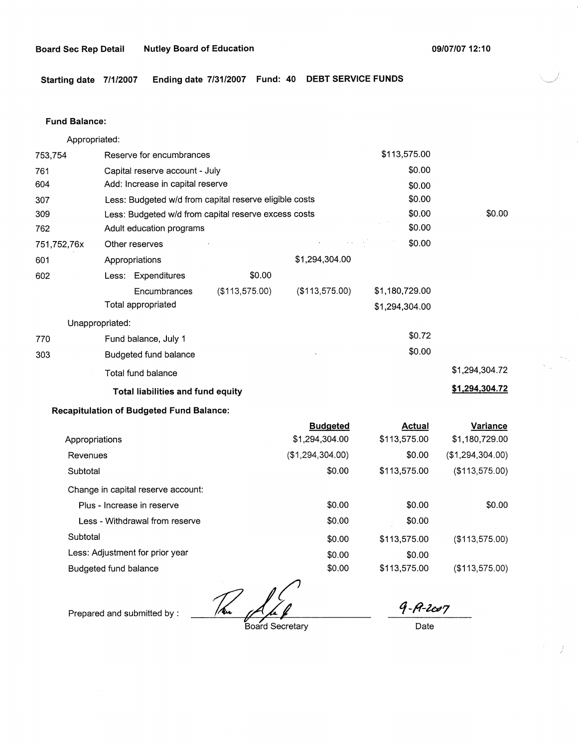**Starting date 7/1/2007 Ending date 7/31/2007 Fund: 40 DEBT SERVICE FUNDS** 

## **Fund Balance:**

| Appropriated:  |                                                        |                 |                  |                |                  |
|----------------|--------------------------------------------------------|-----------------|------------------|----------------|------------------|
| 753,754        | Reserve for encumbrances                               |                 |                  | \$113,575.00   |                  |
| 761            | Capital reserve account - July                         |                 |                  | \$0.00         |                  |
| 604            | Add: Increase in capital reserve                       |                 |                  | \$0.00         |                  |
| 307            | Less: Budgeted w/d from capital reserve eligible costs |                 |                  | \$0.00         |                  |
| 309            | Less: Budgeted w/d from capital reserve excess costs   |                 |                  | \$0.00         | \$0.00           |
| 762            | Adult education programs                               |                 |                  | \$0.00         |                  |
| 751,752,76x    | Other reserves                                         |                 |                  | \$0.00         |                  |
| 601            | Appropriations                                         |                 | \$1,294,304.00   |                |                  |
| 602            | Less: Expenditures                                     | \$0.00          |                  |                |                  |
|                | Encumbrances                                           | (\$113, 575.00) | (\$113,575.00)   | \$1,180,729.00 |                  |
|                | Total appropriated                                     |                 |                  | \$1,294,304.00 |                  |
|                | Unappropriated:                                        |                 |                  |                |                  |
| 770            | Fund balance, July 1                                   |                 |                  | \$0.72         |                  |
| 303            | Budgeted fund balance                                  |                 |                  | \$0.00         |                  |
|                | Total fund balance                                     |                 |                  |                | \$1,294,304.72   |
|                | Total liabilities and fund equity                      |                 |                  |                | \$1,294,304.72   |
|                | <b>Recapitulation of Budgeted Fund Balance:</b>        |                 |                  |                |                  |
|                |                                                        |                 | <b>Budgeted</b>  | <b>Actual</b>  | Variance         |
| Appropriations |                                                        |                 | \$1,294,304.00   | \$113,575.00   | \$1,180,729.00   |
| Revenues       |                                                        |                 | (\$1,294,304.00) | \$0.00         | (\$1,294,304.00) |
| Subtotal       |                                                        |                 | \$0.00           | \$113,575.00   | (\$113,575.00)   |
|                | Change in capital reserve account:                     |                 |                  |                |                  |
|                | Plus - Increase in reserve                             |                 | \$0.00           | \$0.00         | \$0.00           |
|                | Less - Withdrawal from reserve                         |                 | \$0.00           | \$0.00         |                  |
| Subtotal       |                                                        |                 | \$0.00           | \$113,575.00   | (\$113,575.00)   |
|                | Less: Adjustment for prior year                        |                 | \$0.00           | \$0.00         |                  |

Budgeted fund balance

/ku

Prepared and submitted by :

Board Secretary

\$0.00

 $9 - 1 - 2007$ 

(\$113,575.00)

I *I* 

Date

\$113,575.00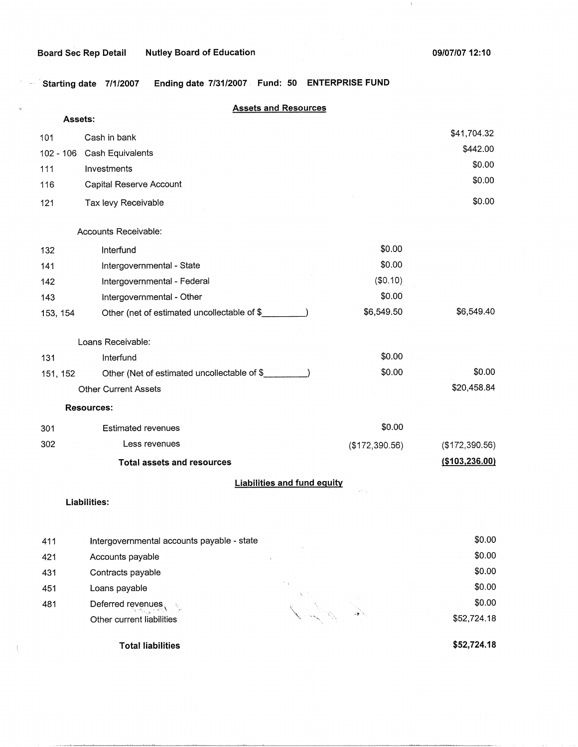$\epsilon$  $\bar{\omega}$ 

 $\langle$ 

 $\mathcal{A}$ 

, **Starting date 7/1/2007 Ending date 7/31/2007. Fund: 50 ENTERPRISE FUND** 

|                | <b>Assets and Resources</b>                 |                |                  |
|----------------|---------------------------------------------|----------------|------------------|
| <b>Assets:</b> |                                             |                |                  |
| 101            | Cash in bank                                |                | \$41,704.32      |
|                | 102 - 106 Cash Equivalents                  |                | \$442.00         |
| 111            | Investments                                 |                | \$0.00           |
| 116            | Capital Reserve Account                     |                | \$0.00           |
| 121            | Tax levy Receivable                         |                | \$0.00           |
|                | Accounts Receivable:                        |                |                  |
| 132            | Interfund                                   | \$0.00         |                  |
| 141            | Intergovernmental - State                   | \$0.00         |                  |
| 142            | Intergovernmental - Federal                 | (\$0.10)       |                  |
| 143            | Intergovernmental - Other                   | \$0.00         |                  |
| 153, 154       | Other (net of estimated uncollectable of \$ | \$6,549.50     | \$6,549.40       |
|                | Loans Receivable:                           |                |                  |
| 131            | Interfund                                   | \$0.00         |                  |
| 151, 152       | Other (Net of estimated uncollectable of \$ | \$0.00         | \$0.00           |
|                | <b>Other Current Assets</b>                 |                | \$20,458.84      |
|                | <b>Resources:</b>                           |                |                  |
| 301            | <b>Estimated revenues</b>                   | \$0.00         |                  |
| 302            | Less revenues                               | (\$172,390.56) | (\$172,390.56)   |
|                | <b>Total assets and resources</b>           |                | ( \$103, 236.00) |
|                | <b>Liabilities and fund equity</b>          |                |                  |
|                | <b>Liabilities:</b>                         |                |                  |
|                |                                             |                |                  |
| 411            | Intergovernmental accounts payable - state  |                | \$0.00           |
| 421            | Accounts payable                            |                | \$0.00           |
| 431            | Contracts payable                           |                | \$0.00           |
| 451            | Loans payable                               |                | \$0.00           |
| 481            | Deferred revenues                           |                | \$0.00           |
|                | Other current liabilities                   |                | \$52,724.18      |

**Total liabilities** 

**\$52,724.18**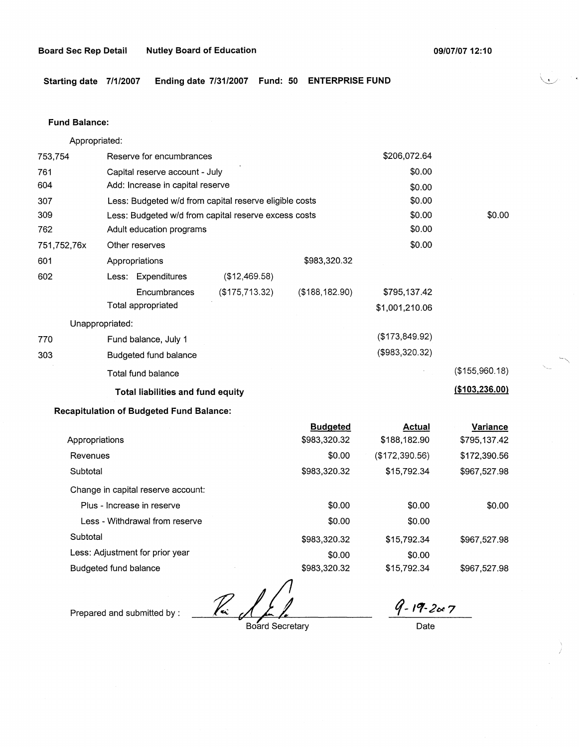$\,\,\check{}\,\,$ 

**Starting date 7/1/2007 Ending date 7/31/2007 Fund: 50 ENTERPRISE FUND** 

#### **Fund Balance:**

753,754 761 604 Appropriated: Reserve for encumbrances Capital reserve account - July Add: Increase in capital reserve 307 309 762 751,752,76x 601 Less: Budgeted w/d from capital reserve eligible costs Less: Budgeted w/d from capital reserve excess costs Adult education programs 602 770 303 Other reserves Appropriations Less: Expenditures **Encumbrances** Total appropriated Unappropriated: Fund balance, July 1 Budgeted fund balance Total fund balance (\$12,469.58) (\$175,713.32) **Total liabilities and fund equity Recapitulation of Budgeted Fund Balance:**  Appropriations Revenues **Subtotal** Change in capital reserve account: Plus - Increase in reserve Less - Withdrawal from reserve \$983,320.32 (\$188,182.90) **Budgeted**  \$983,320.32 \$0.00 \$983,320.32 \$0.00 \$0.00 \$206,072.64 \$0.00 \$0.00 \$0.00 \$0.00 \$0.00 \$0.00 \$795, 137.42 \$1,001,210.06 (\$173,849.92) (\$983,320.32) **Actual**  \$188,182.90 (\$172,390.56) \$15,792.34 \$0.00 \$0.00 \$0.00 (\$155,960.18) **(\$103,236.00) Variance**  \$795,137.42 \$172,390.56 \$967,527.98 \$0.00

**Subtotal** Less: Adjustment for prior year

Budgeted fund balance

 $\frac{R}{\omega}$   $\frac{1}{\omega}$   $\frac{1}{\omega}$ 

Prepared and submitted by :

\$983,320.32

\$0.00 \$983,320.32

**tr-***l'1-2ot* **<sup>7</sup>**

\$967,527.98

\$967,527.98

Date

\$15,792.34 \$0.00 \$15,792.34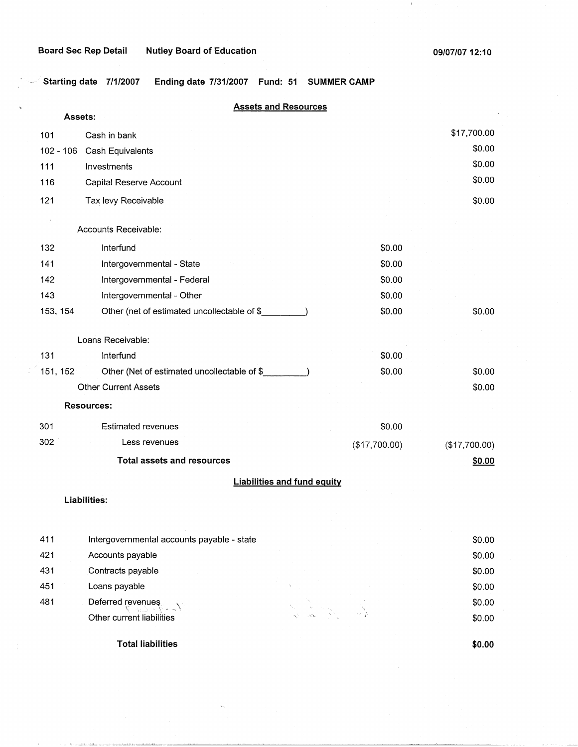## **Board Sec Rep Detail Nutley Board of Education 09/07/0712:10**

 $\mathbf{q}$ 

-- **Starting date 7/1/2007 Ending date 7/31/2007 Fund: 51 SUMMER CAMP** 

|          | Assets: |                                             | <b>Assets and Resources</b>        |               |               |
|----------|---------|---------------------------------------------|------------------------------------|---------------|---------------|
| 101      |         | Cash in bank                                |                                    |               | \$17,700.00   |
|          |         | 102 - 106 Cash Equivalents                  |                                    |               | \$0.00        |
| 111      |         | Investments                                 |                                    |               | \$0.00        |
| 116      |         | Capital Reserve Account                     |                                    |               | \$0.00        |
| 121      |         | Tax levy Receivable                         |                                    |               | \$0.00        |
|          |         | Accounts Receivable:                        |                                    |               |               |
| 132      |         | Interfund                                   |                                    | \$0.00        |               |
| 141      |         | Intergovernmental - State                   |                                    | \$0.00        |               |
| 142      |         | Intergovernmental - Federal                 |                                    | \$0.00        |               |
| 143      |         | Intergovernmental - Other                   |                                    | \$0.00        |               |
| 153, 154 |         | Other (net of estimated uncollectable of \$ |                                    | \$0.00        | \$0.00        |
|          |         | Loans Receivable:                           |                                    |               |               |
| 131      |         | Interfund                                   |                                    | \$0.00        |               |
| 151, 152 |         | Other (Net of estimated uncollectable of \$ |                                    | \$0.00        | \$0.00        |
|          |         | <b>Other Current Assets</b>                 |                                    |               | \$0.00        |
|          |         | <b>Resources:</b>                           |                                    |               |               |
| 301      |         | <b>Estimated revenues</b>                   |                                    | \$0.00        |               |
| 302      |         | Less revenues                               |                                    | (\$17,700.00) | (\$17,700.00) |
|          |         | <b>Total assets and resources</b>           |                                    |               | \$0.00        |
|          |         |                                             | <b>Liabilities and fund equity</b> |               |               |
|          |         | Liabilities:                                |                                    |               |               |
| 411      |         | Intergovernmental accounts payable - state  |                                    |               | \$0.00        |
| 421      |         | Accounts payable                            |                                    |               | \$0.00        |
| 431      |         | Contracts payable                           |                                    |               | \$0.00        |
| 451      |         | Loans payable                               |                                    |               | \$0.00        |
| 481      |         | Deferred revenues                           |                                    |               | \$0.00        |
|          |         | Other current liabilities                   |                                    |               | \$0.00        |

**Total liabilities** 

Other current liabilities

 $\hat{K}$  , an all  $\hat{K}$  in the second contribution

**\$0.00** 

\$0.00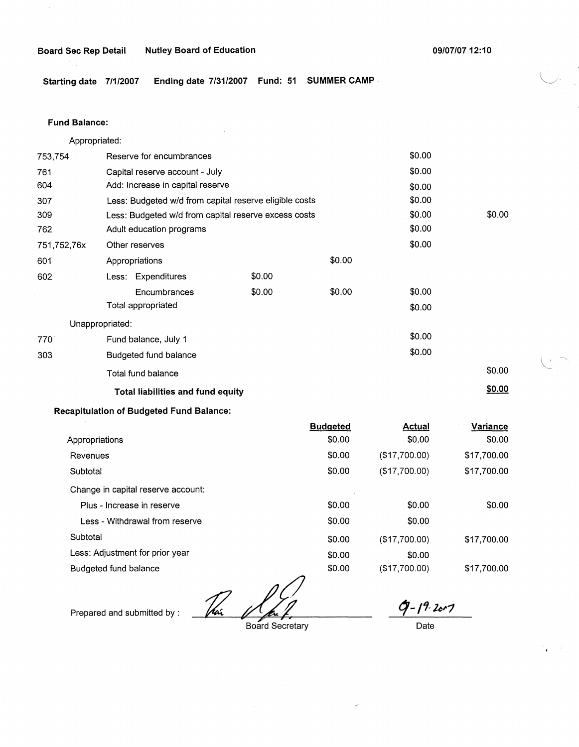### **Board Sec Rep Detail Nutley Board of Education**

**09/07/0712:10** 

**Starting date 7/1/2007 Ending date 7/31/2007 Fund: 51 SUMMER CAMP** 

#### **Fund Balance:**

753,754 761 604 Appropriated: Reserve for encumbrances Capital reserve account - July Add: Increase in capital reserve 307 309 762 751,752,76x 601 Less: Budgeted w/d from capital reserve eligible costs Less: Budgeted w/d from capital reserve excess costs Adult education programs 602 770 303 Other reserves Appropriations Less: Expenditures Encumbrances Total appropriated Unappropriated: Fund balance, July 1 Budgeted fund balance Total fund balance **Total liabilities and fund equity**  \$0.00 \$0.00 \$0.00 \$0.00 \$0.00 \$0.00 \$0.00 \$0.00 \$0.00 \$0.00 \$0.00 \$0.00 \$0.00 \$0.00 \$0.00 \$0.00 \$0.00 \\_\_: **\$0.00** 

### **Recapitulation of Budgeted Fund Balance:**

|                                    | <b>Budgeted</b> | Actual        | Variance    |
|------------------------------------|-----------------|---------------|-------------|
| Appropriations                     | \$0.00          | \$0.00        | \$0.00      |
| Revenues                           | \$0.00          | (\$17,700.00) | \$17,700.00 |
| Subtotal                           | \$0.00          | (\$17,700.00) | \$17,700.00 |
| Change in capital reserve account: |                 |               |             |
| Plus - Increase in reserve         | \$0.00          | \$0.00        | \$0.00      |
| Less - Withdrawal from reserve     | \$0.00          | \$0.00        |             |
| Subtotal                           | \$0.00          | (\$17,700.00) | \$17,700.00 |
| Less: Adjustment for prior year    | \$0.00          | \$0.00        |             |
| Budgeted fund balance              | \$0.00          | (\$17,700.00) | \$17,700.00 |

This

**tf-/1·w1** 

Prepared and submitted by :

Board Secretary

Date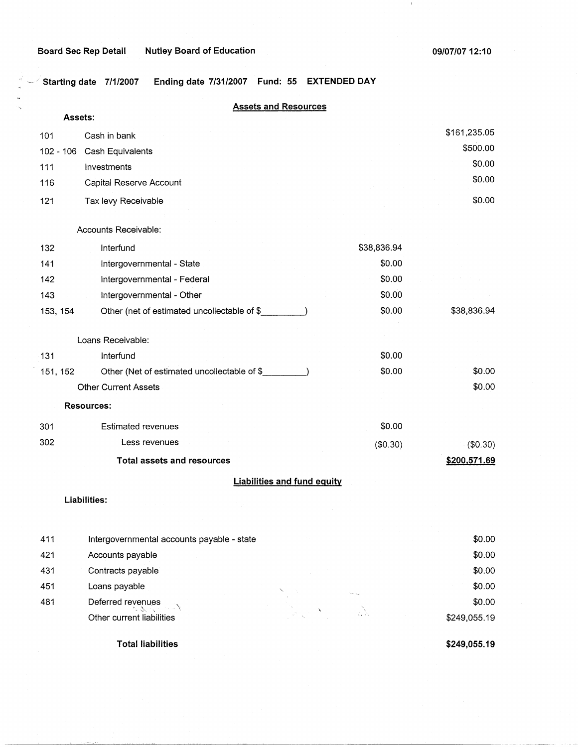$\mathbf{1}$ 

,,. **~/Starting date 7/1/2007 Ending date 7/31/2007 Fund: 55 EXTENDED DAY** 

|             | <b>Assets and Resources</b>                 |             |              |
|-------------|---------------------------------------------|-------------|--------------|
| Assets:     |                                             |             |              |
| 101         | Cash in bank                                |             | \$161,235.05 |
| $102 - 106$ | Cash Equivalents                            |             | \$500.00     |
| 111         | Investments                                 |             | \$0.00       |
| 116         | Capital Reserve Account                     |             | \$0.00       |
| 121         | Tax levy Receivable                         |             | \$0.00       |
|             | Accounts Receivable:                        |             |              |
| 132         | Interfund                                   | \$38,836.94 |              |
| 141         | Intergovernmental - State                   | \$0.00      |              |
| 142         | Intergovernmental - Federal                 | \$0.00      |              |
| 143         | Intergovernmental - Other                   | \$0.00      |              |
| 153, 154    | Other (net of estimated uncollectable of \$ | \$0.00      | \$38,836.94  |
|             | Loans Receivable:                           |             |              |
| 131         | Interfund                                   | \$0.00      |              |
| 151, 152    | Other (Net of estimated uncollectable of \$ | \$0.00      | \$0.00       |
|             | <b>Other Current Assets</b>                 |             | \$0.00       |
|             | <b>Resources:</b>                           |             |              |
| 301         | <b>Estimated revenues</b>                   | \$0.00      |              |
| 302         | Less revenues                               | (\$0.30)    | (\$0.30)     |
|             | <b>Total assets and resources</b>           |             | \$200,571.69 |
|             | <b>Liabilities and fund equity</b>          |             |              |
|             |                                             |             |              |

#### **Liabilities:**

| 411 | Intergovernmental accounts payable - state |     | \$0.00       |
|-----|--------------------------------------------|-----|--------------|
| 421 | Accounts payable                           |     | \$0.00       |
| 431 | Contracts payable                          |     | \$0.00       |
| 451 | Loans payable                              |     | \$0.00       |
| 481 | Deferred revenues<br>RENTE LUN             |     | \$0.00       |
|     | Other current liabilities                  | аÑ, | \$249,055.19 |
|     | Total liabilities                          |     | \$249,055.19 |

-----~---~--~---~~-~------------------------ - --- -----------